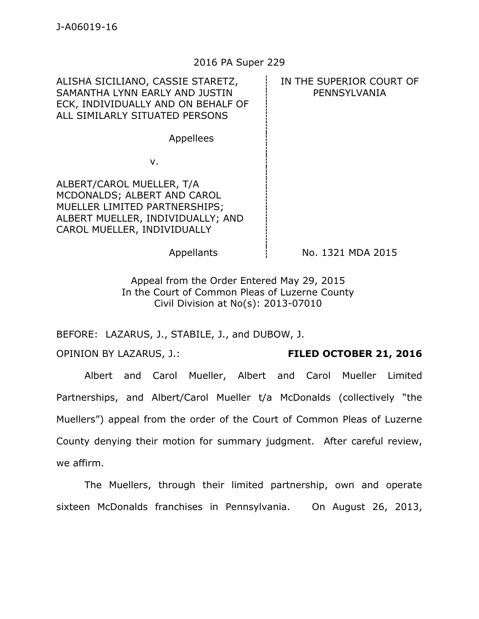## 2016 PA Super 229

ALISHA SICILIANO, CASSIE STARETZ, SAMANTHA LYNN EARLY AND JUSTIN ECK, INDIVIDUALLY AND ON BEHALF OF ALL SIMILARLY SITUATED PERSONS IN THE SUPERIOR COURT OF PENNSYLVANIA Appellees

v.

ALBERT/CAROL MUELLER, T/A MCDONALDS; ALBERT AND CAROL MUELLER LIMITED PARTNERSHIPS; ALBERT MUELLER, INDIVIDUALLY; AND CAROL MUELLER, INDIVIDUALLY

Appellants  $\frac{1}{2}$  No. 1321 MDA 2015

Appeal from the Order Entered May 29, 2015 In the Court of Common Pleas of Luzerne County Civil Division at No(s): 2013-07010

BEFORE: LAZARUS, J., STABILE, J., and DUBOW, J.

OPINION BY LAZARUS, J.: **FILED OCTOBER 21, 2016**

Albert and Carol Mueller, Albert and Carol Mueller Limited Partnerships, and Albert/Carol Mueller t/a McDonalds (collectively "the Muellers") appeal from the order of the Court of Common Pleas of Luzerne County denying their motion for summary judgment. After careful review, we affirm.

The Muellers, through their limited partnership, own and operate sixteen McDonalds franchises in Pennsylvania. On August 26, 2013,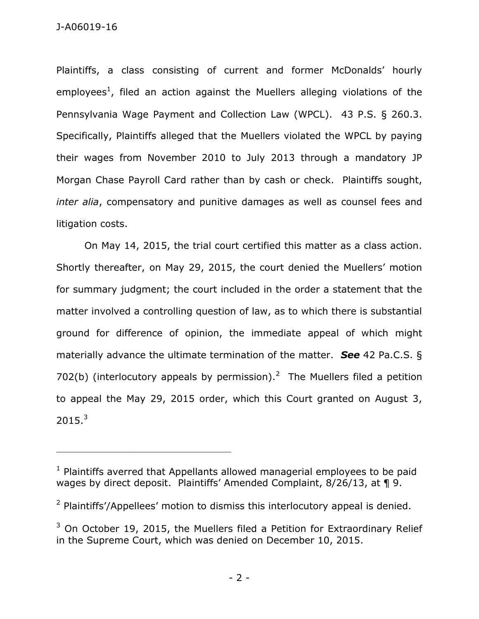Plaintiffs, a class consisting of current and former McDonalds' hourly employees<sup>1</sup>, filed an action against the Muellers alleging violations of the Pennsylvania Wage Payment and Collection Law (WPCL). 43 P.S. § 260.3. Specifically, Plaintiffs alleged that the Muellers violated the WPCL by paying their wages from November 2010 to July 2013 through a mandatory JP Morgan Chase Payroll Card rather than by cash or check. Plaintiffs sought, *inter alia*, compensatory and punitive damages as well as counsel fees and litigation costs.

On May 14, 2015, the trial court certified this matter as a class action. Shortly thereafter, on May 29, 2015, the court denied the Muellers' motion for summary judgment; the court included in the order a statement that the matter involved a controlling question of law, as to which there is substantial ground for difference of opinion, the immediate appeal of which might materially advance the ultimate termination of the matter. *See* 42 Pa.C.S. § 702(b) (interlocutory appeals by permission).<sup>2</sup> The Muellers filed a petition to appeal the May 29, 2015 order, which this Court granted on August 3,  $2015.<sup>3</sup>$ 

\_\_\_\_\_\_\_\_\_\_\_\_\_\_\_\_\_\_\_\_\_\_\_\_\_\_\_\_\_\_\_\_\_\_\_\_\_\_\_\_\_\_\_\_

 $1$  Plaintiffs averred that Appellants allowed managerial employees to be paid wages by direct deposit. Plaintiffs' Amended Complaint, 8/26/13, at 19.

 $2$  Plaintiffs'/Appellees' motion to dismiss this interlocutory appeal is denied.

 $3$  On October 19, 2015, the Muellers filed a Petition for Extraordinary Relief in the Supreme Court, which was denied on December 10, 2015.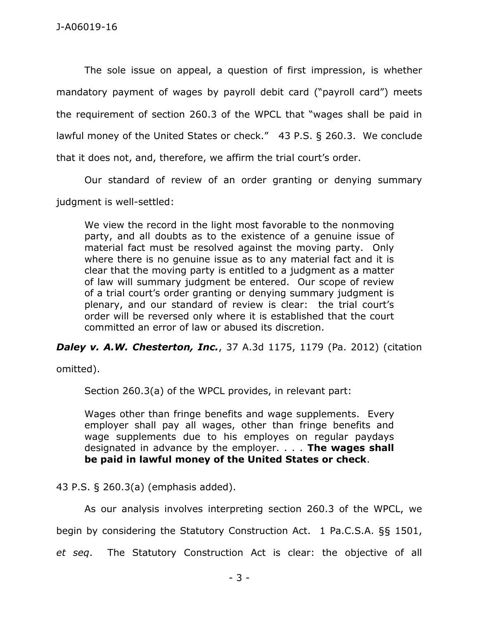The sole issue on appeal, a question of first impression, is whether mandatory payment of wages by payroll debit card ("payroll card") meets the requirement of section 260.3 of the WPCL that "wages shall be paid in lawful money of the United States or check." 43 P.S. § 260.3. We conclude that it does not, and, therefore, we affirm the trial court's order.

Our standard of review of an order granting or denying summary judgment is well-settled:

We view the record in the light most favorable to the nonmoving party, and all doubts as to the existence of a genuine issue of material fact must be resolved against the moving party. Only where there is no genuine issue as to any material fact and it is clear that the moving party is entitled to a judgment as a matter of law will summary judgment be entered. Our scope of review of a trial court's order granting or denying summary judgment is plenary, and our standard of review is clear: the trial court's order will be reversed only where it is established that the court committed an error of law or abused its discretion.

*Daley v. A.W. Chesterton, Inc.*, 37 A.3d 1175, 1179 (Pa. 2012) (citation

omitted).

Section 260.3(a) of the WPCL provides, in relevant part:

Wages other than fringe benefits and wage supplements. Every employer shall pay all wages, other than fringe benefits and wage supplements due to his employes on regular paydays designated in advance by the employer. . . . **The wages shall be paid in lawful money of the United States or check**.

43 P.S. § 260.3(a) (emphasis added).

As our analysis involves interpreting section 260.3 of the WPCL, we begin by considering the Statutory Construction Act. 1 Pa.C.S.A. §§ 1501, *et seq*. The Statutory Construction Act is clear: the objective of all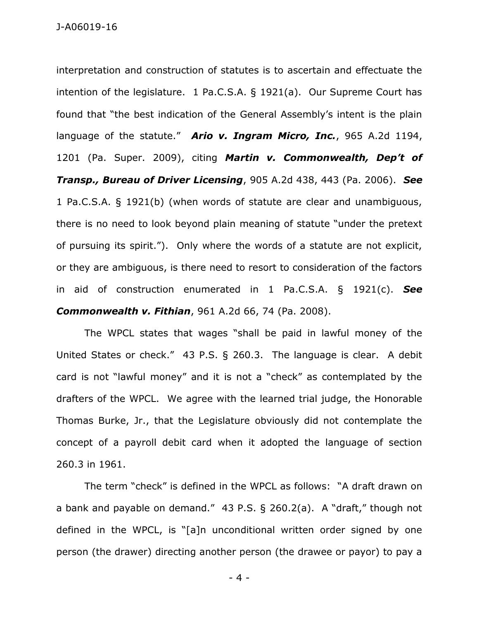interpretation and construction of statutes is to ascertain and effectuate the intention of the legislature. 1 Pa.C.S.A. § 1921(a). Our Supreme Court has found that "the best indication of the General Assembly's intent is the plain language of the statute." *Ario v. Ingram Micro, Inc.*, 965 A.2d 1194, 1201 (Pa. Super. 2009), citing *Martin v. Commonwealth, Dep't of Transp., Bureau of Driver Licensing*, 905 A.2d 438, 443 (Pa. 2006). *See* 1 Pa.C.S.A. § 1921(b) (when words of statute are clear and unambiguous, there is no need to look beyond plain meaning of statute "under the pretext of pursuing its spirit."). Only where the words of a statute are not explicit, or they are ambiguous, is there need to resort to consideration of the factors in aid of construction enumerated in 1 Pa.C.S.A. § 1921(c). *See Commonwealth v. Fithian*, 961 A.2d 66, 74 (Pa. 2008).

The WPCL states that wages "shall be paid in lawful money of the United States or check." 43 P.S. § 260.3. The language is clear. A debit card is not "lawful money" and it is not a "check" as contemplated by the drafters of the WPCL. We agree with the learned trial judge, the Honorable Thomas Burke, Jr., that the Legislature obviously did not contemplate the concept of a payroll debit card when it adopted the language of section 260.3 in 1961.

The term "check" is defined in the WPCL as follows: "A draft drawn on a bank and payable on demand." 43 P.S. § 260.2(a). A "draft," though not defined in the WPCL, is "[a]n unconditional written order signed by one person (the drawer) directing another person (the drawee or payor) to pay a

- 4 -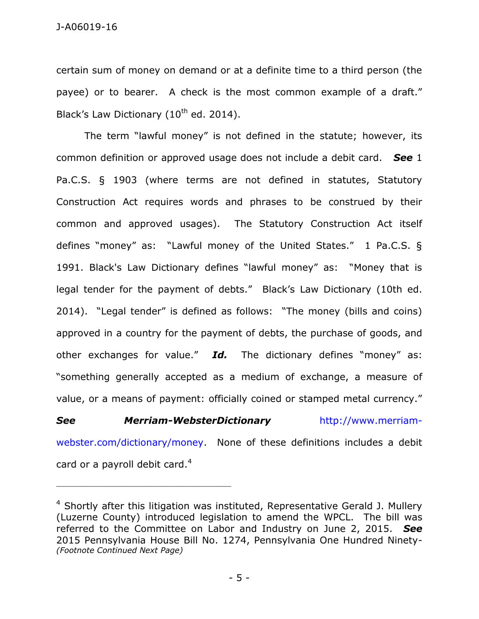certain sum of money on demand or at a definite time to a third person (the payee) or to bearer. A check is the most common example of a draft." Black's Law Dictionary (10<sup>th</sup> ed. 2014).

The term "lawful money" is not defined in the statute; however, its common definition or approved usage does not include a debit card. *See* 1 Pa.C.S. § 1903 (where terms are not defined in statutes, Statutory Construction Act requires words and phrases to be construed by their common and approved usages). The Statutory Construction Act itself defines "money" as: "Lawful money of the United States." 1 Pa.C.S. § 1991. Black's Law Dictionary defines "lawful money" as: "Money that is legal tender for the payment of debts." Black's Law Dictionary (10th ed. 2014). "Legal tender" is defined as follows: "The money (bills and coins) approved in a country for the payment of debts, the purchase of goods, and other exchanges for value." *Id.* The dictionary defines "money" as: "something generally accepted as a medium of exchange, a measure of value, or a means of payment: officially coined or stamped metal currency."

## *See Merriam-WebsterDictionary* [http://www.merriam-](http://www.merriam-webster.com/dictionary/money)

[webster.com/dictionary/money.](http://www.merriam-webster.com/dictionary/money) None of these definitions includes a debit card or a payroll debit card.<sup>4</sup>

 $4$  Shortly after this litigation was instituted, Representative Gerald J. Mullery (Luzerne County) introduced legislation to amend the WPCL. The bill was referred to the Committee on Labor and Industry on June 2, 2015. *See* 2015 Pennsylvania House Bill No. 1274, Pennsylvania One Hundred Ninety- *(Footnote Continued Next Page)*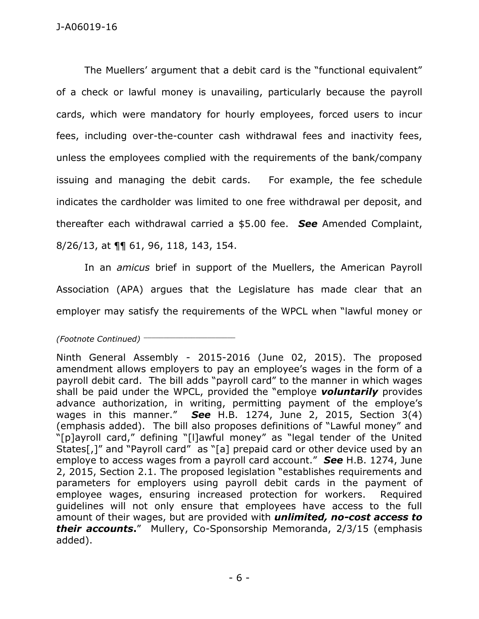The Muellers' argument that a debit card is the "functional equivalent" of a check or lawful money is unavailing, particularly because the payroll cards, which were mandatory for hourly employees, forced users to incur fees, including over-the-counter cash withdrawal fees and inactivity fees, unless the employees complied with the requirements of the bank/company issuing and managing the debit cards. For example, the fee schedule indicates the cardholder was limited to one free withdrawal per deposit, and thereafter each withdrawal carried a \$5.00 fee. *See* Amended Complaint, 8/26/13, at ¶¶ 61, 96, 118, 143, 154.

In an *amicus* brief in support of the Muellers, the American Payroll Association (APA) argues that the Legislature has made clear that an employer may satisfy the requirements of the WPCL when "lawful money or

*(Footnote Continued)* \_\_\_\_\_\_\_\_\_\_\_\_\_\_\_\_\_\_\_\_\_\_\_

Ninth General Assembly - 2015-2016 (June 02, 2015). The proposed amendment allows employers to pay an employee's wages in the form of a payroll debit card. The bill adds "payroll card" to the manner in which wages shall be paid under the WPCL, provided the "employe *voluntarily* provides advance authorization, in writing, permitting payment of the employe's wages in this manner." *See* H.B. 1274, June 2, 2015, Section 3(4) (emphasis added). The bill also proposes definitions of "Lawful money" and "[p]ayroll card," defining "[l]awful money" as "legal tender of the United States[,]" and "Payroll card" as "[a] prepaid card or other device used by an employe to access wages from a payroll card account." *See* H.B. 1274, June 2, 2015, Section 2.1. The proposed legislation "establishes requirements and parameters for employers using payroll debit cards in the payment of employee wages, ensuring increased protection for workers. Required guidelines will not only ensure that employees have access to the full amount of their wages, but are provided with *unlimited, no-cost access to their accounts***.**" Mullery, Co-Sponsorship Memoranda, 2/3/15 (emphasis added).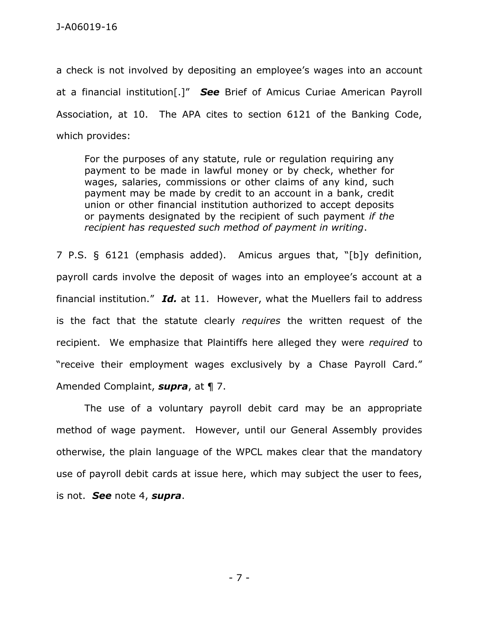a check is not involved by depositing an employee's wages into an account at a financial institution[.]" *See* Brief of Amicus Curiae American Payroll Association, at 10. The APA cites to section 6121 of the Banking Code, which provides:

For the purposes of any statute, rule or regulation requiring any payment to be made in lawful money or by check, whether for wages, salaries, commissions or other claims of any kind, such payment may be made by credit to an account in a bank, credit union or other financial institution authorized to accept deposits or payments designated by the recipient of such payment *if the recipient has requested such method of payment in writing*.

7 P.S. § 6121 (emphasis added). Amicus argues that, "[b]y definition, payroll cards involve the deposit of wages into an employee's account at a financial institution." *Id.* at 11. However, what the Muellers fail to address is the fact that the statute clearly *requires* the written request of the recipient. We emphasize that Plaintiffs here alleged they were *required* to "receive their employment wages exclusively by a Chase Payroll Card." Amended Complaint, *supra*, at ¶ 7.

The use of a voluntary payroll debit card may be an appropriate method of wage payment. However, until our General Assembly provides otherwise, the plain language of the WPCL makes clear that the mandatory use of payroll debit cards at issue here, which may subject the user to fees, is not. *See* note 4, *supra*.